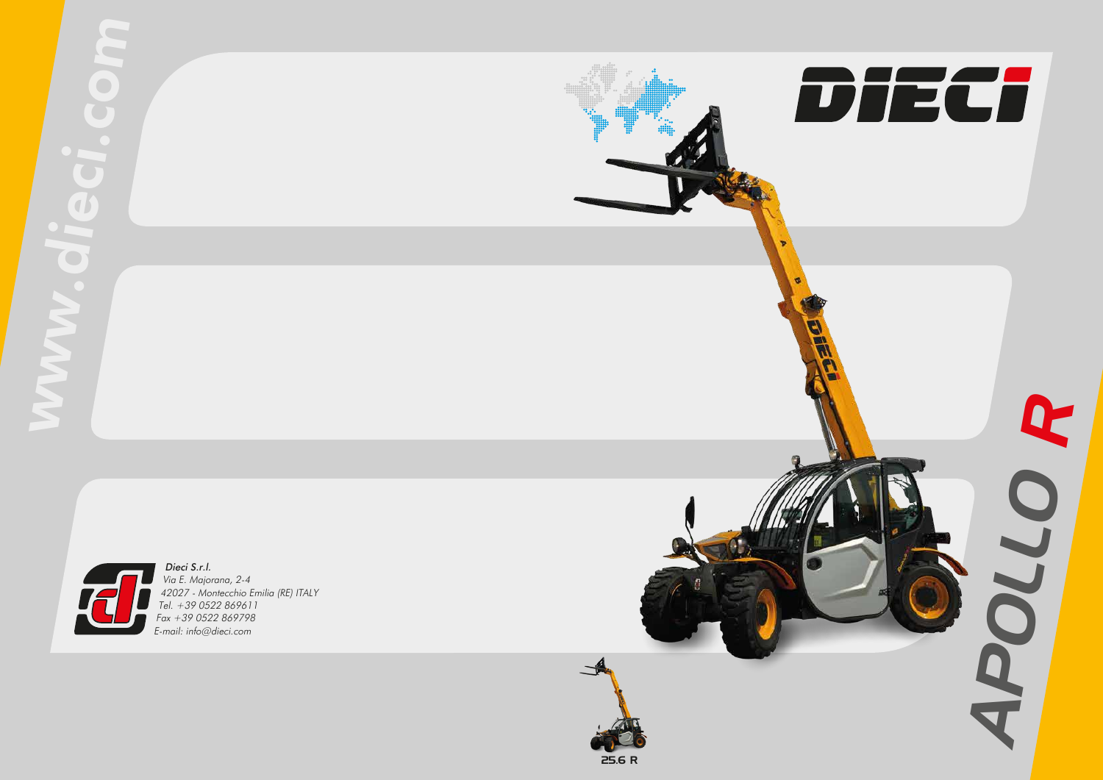



Dieci S.r.l. Via E. Majorana, 2-4 42027 - Montecchio Emilia (RE) ITALY Tel. +39 0522 869611 Fax +39 0522 869798 E-mail: info@dieci.com